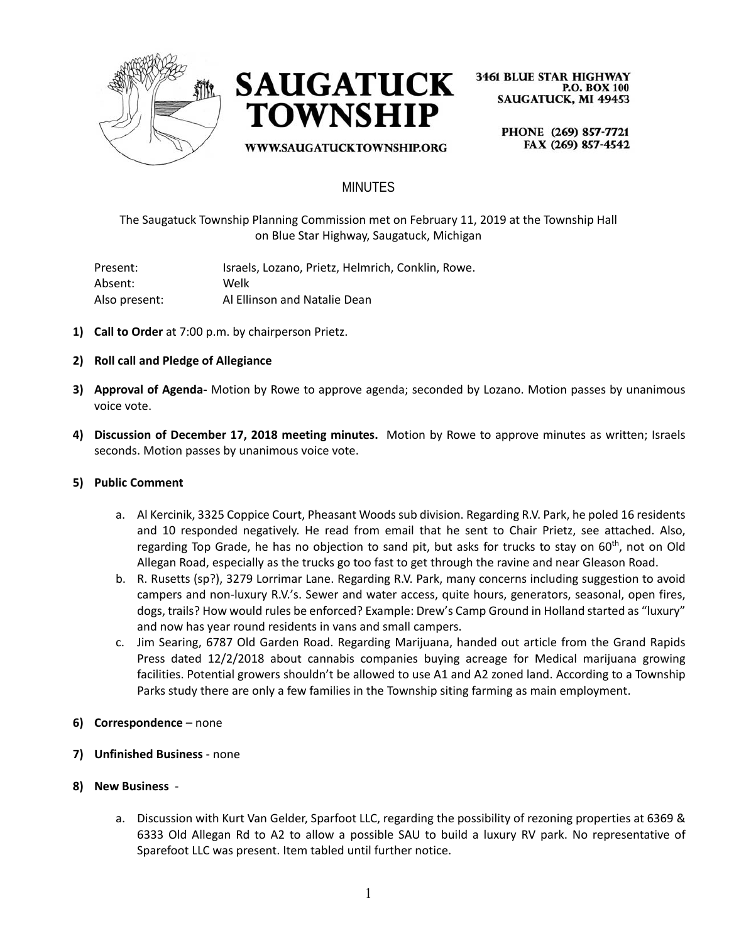



WWW.SAUGATUCKTOWNSHIP.ORG

**3461 BLUE STAR HIGHWAY P.O. BOX 100 SAUGATUCK, MI 49453** 

> PHONE (269) 857-7721 FAX (269) 857-4542

## MINUTES

The Saugatuck Township Planning Commission met on February 11, 2019 at the Township Hall on Blue Star Highway, Saugatuck, Michigan

Present: Israels, Lozano, Prietz, Helmrich, Conklin, Rowe. Absent: Welk Also present: Al Ellinson and Natalie Dean

- **1) Call to Order** at 7:00 p.m. by chairperson Prietz.
- **2) Roll call and Pledge of Allegiance**
- **3) Approval of Agenda-** Motion by Rowe to approve agenda; seconded by Lozano. Motion passes by unanimous voice vote.
- **4) Discussion of December 17, 2018 meeting minutes.** Motion by Rowe to approve minutes as written; Israels seconds. Motion passes by unanimous voice vote.

#### **5) Public Comment**

- a. Al Kercinik, 3325 Coppice Court, Pheasant Woods sub division. Regarding R.V. Park, he poled 16 residents and 10 responded negatively. He read from email that he sent to Chair Prietz, see attached. Also, regarding Top Grade, he has no objection to sand pit, but asks for trucks to stay on  $60<sup>th</sup>$ , not on Old Allegan Road, especially as the trucks go too fast to get through the ravine and near Gleason Road.
- b. R. Rusetts (sp?), 3279 Lorrimar Lane. Regarding R.V. Park, many concerns including suggestion to avoid campers and non-luxury R.V.'s. Sewer and water access, quite hours, generators, seasonal, open fires, dogs, trails? How would rules be enforced? Example: Drew's Camp Ground in Holland started as "luxury" and now has year round residents in vans and small campers.
- c. Jim Searing, 6787 Old Garden Road. Regarding Marijuana, handed out article from the Grand Rapids Press dated 12/2/2018 about cannabis companies buying acreage for Medical marijuana growing facilities. Potential growers shouldn't be allowed to use A1 and A2 zoned land. According to a Township Parks study there are only a few families in the Township siting farming as main employment.
- **6) Correspondence** none
- **7) Unfinished Business**  none
- **8) New Business** 
	- a. Discussion with Kurt Van Gelder, Sparfoot LLC, regarding the possibility of rezoning properties at 6369 & 6333 Old Allegan Rd to A2 to allow a possible SAU to build a luxury RV park. No representative of Sparefoot LLC was present. Item tabled until further notice.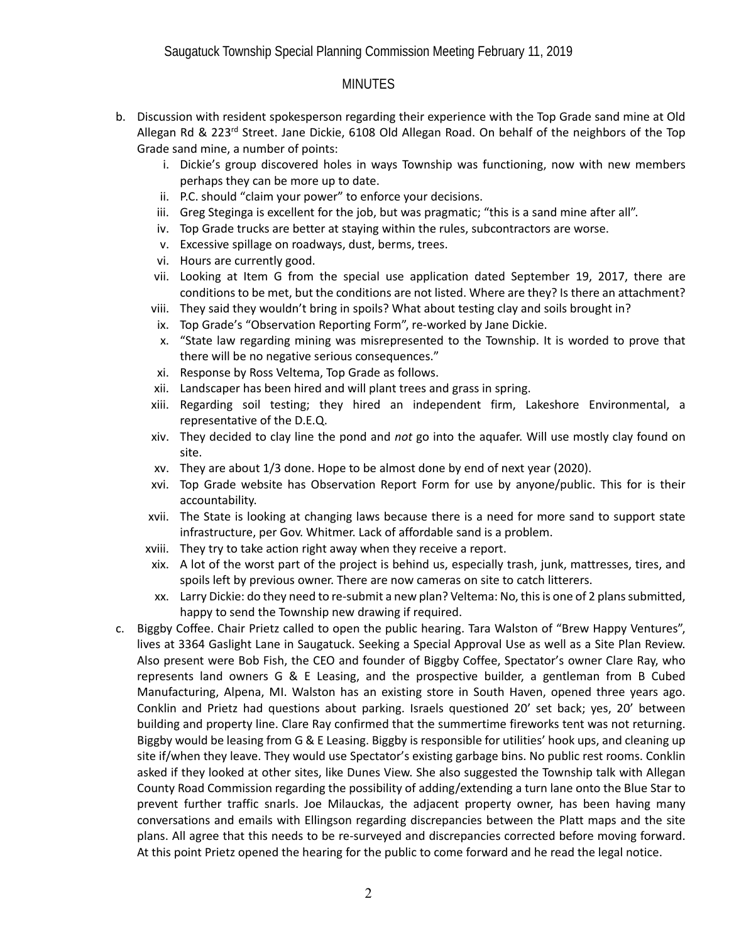## **MINUTES**

- b. Discussion with resident spokesperson regarding their experience with the Top Grade sand mine at Old Allegan Rd & 223<sup>rd</sup> Street. Jane Dickie, 6108 Old Allegan Road. On behalf of the neighbors of the Top Grade sand mine, a number of points:
	- i. Dickie's group discovered holes in ways Township was functioning, now with new members perhaps they can be more up to date.
	- ii. P.C. should "claim your power" to enforce your decisions.
	- iii. Greg Steginga is excellent for the job, but was pragmatic; "this is a sand mine after all".
	- iv. Top Grade trucks are better at staying within the rules, subcontractors are worse.
	- v. Excessive spillage on roadways, dust, berms, trees.
	- vi. Hours are currently good.
	- vii. Looking at Item G from the special use application dated September 19, 2017, there are conditions to be met, but the conditions are not listed. Where are they? Is there an attachment?
	- viii. They said they wouldn't bring in spoils? What about testing clay and soils brought in?
	- ix. Top Grade's "Observation Reporting Form", re-worked by Jane Dickie.
	- x. "State law regarding mining was misrepresented to the Township. It is worded to prove that there will be no negative serious consequences."
	- xi. Response by Ross Veltema, Top Grade as follows.
	- xii. Landscaper has been hired and will plant trees and grass in spring.
	- xiii. Regarding soil testing; they hired an independent firm, Lakeshore Environmental, a representative of the D.E.Q.
	- xiv. They decided to clay line the pond and *not* go into the aquafer. Will use mostly clay found on site.
	- xv. They are about 1/3 done. Hope to be almost done by end of next year (2020).
	- xvi. Top Grade website has Observation Report Form for use by anyone/public. This for is their accountability.
	- xvii. The State is looking at changing laws because there is a need for more sand to support state infrastructure, per Gov. Whitmer. Lack of affordable sand is a problem.
	- xviii. They try to take action right away when they receive a report.
	- xix. A lot of the worst part of the project is behind us, especially trash, junk, mattresses, tires, and spoils left by previous owner. There are now cameras on site to catch litterers.
	- xx. Larry Dickie: do they need to re-submit a new plan? Veltema: No, this is one of 2 plans submitted, happy to send the Township new drawing if required.
- c. Biggby Coffee. Chair Prietz called to open the public hearing. Tara Walston of "Brew Happy Ventures", lives at 3364 Gaslight Lane in Saugatuck. Seeking a Special Approval Use as well as a Site Plan Review. Also present were Bob Fish, the CEO and founder of Biggby Coffee, Spectator's owner Clare Ray, who represents land owners G & E Leasing, and the prospective builder, a gentleman from B Cubed Manufacturing, Alpena, MI. Walston has an existing store in South Haven, opened three years ago. Conklin and Prietz had questions about parking. Israels questioned 20' set back; yes, 20' between building and property line. Clare Ray confirmed that the summertime fireworks tent was not returning. Biggby would be leasing from G & E Leasing. Biggby is responsible for utilities' hook ups, and cleaning up site if/when they leave. They would use Spectator's existing garbage bins. No public rest rooms. Conklin asked if they looked at other sites, like Dunes View. She also suggested the Township talk with Allegan County Road Commission regarding the possibility of adding/extending a turn lane onto the Blue Star to prevent further traffic snarls. Joe Milauckas, the adjacent property owner, has been having many conversations and emails with Ellingson regarding discrepancies between the Platt maps and the site plans. All agree that this needs to be re-surveyed and discrepancies corrected before moving forward. At this point Prietz opened the hearing for the public to come forward and he read the legal notice.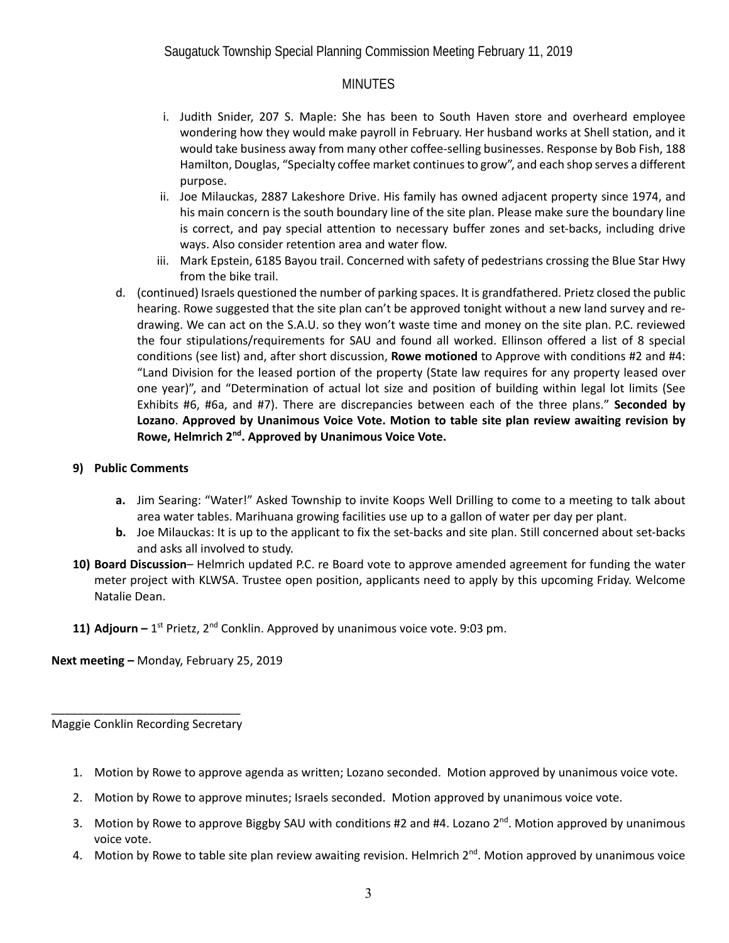Saugatuck Township Special Planning Commission Meeting February 11, 2019

## **MINUTES**

- i. Judith Snider, 207 S. Maple: She has been to South Haven store and overheard employee wondering how they would make payroll in February. Her husband works at Shell station, and it would take business away from many other coffee-selling businesses. Response by Bob Fish, 188 Hamilton, Douglas, "Specialty coffee market continues to grow", and each shop serves a different purpose.
- ii. Joe Milauckas, 2887 Lakeshore Drive. His family has owned adjacent property since 1974, and his main concern is the south boundary line of the site plan. Please make sure the boundary line is correct, and pay special attention to necessary buffer zones and set-backs, including drive ways. Also consider retention area and water flow.
- iii. Mark Epstein, 6185 Bayou trail. Concerned with safety of pedestrians crossing the Blue Star Hwy from the bike trail.
- d. (continued) Israels questioned the number of parking spaces. It is grandfathered. Prietz closed the public hearing. Rowe suggested that the site plan can't be approved tonight without a new land survey and redrawing. We can act on the S.A.U. so they won't waste time and money on the site plan. P.C. reviewed the four stipulations/requirements for SAU and found all worked. Ellinson offered a list of 8 special conditions (see list) and, after short discussion, **Rowe motioned** to Approve with conditions #2 and #4: "Land Division for the leased portion of the property (State law requires for any property leased over one year)", and "Determination of actual lot size and position of building within legal lot limits (See Exhibits #6, #6a, and #7). There are discrepancies between each of the three plans." **Seconded by Lozano**. **Approved by Unanimous Voice Vote. Motion to table site plan review awaiting revision by Rowe, Helmrich 2nd. Approved by Unanimous Voice Vote.**

#### **9) Public Comments**

- **a.** Jim Searing: "Water!" Asked Township to invite Koops Well Drilling to come to a meeting to talk about area water tables. Marihuana growing facilities use up to a gallon of water per day per plant.
- **b.** Joe Milauckas: It is up to the applicant to fix the set-backs and site plan. Still concerned about set-backs and asks all involved to study.
- **10) Board Discussion** Helmrich updated P.C. re Board vote to approve amended agreement for funding the water meter project with KLWSA. Trustee open position, applicants need to apply by this upcoming Friday. Welcome Natalie Dean.
- 11) **Adjourn –** 1<sup>st</sup> Prietz, 2<sup>nd</sup> Conklin. Approved by unanimous voice vote. 9:03 pm.

**Next meeting –** Monday, February 25, 2019

\_\_\_\_\_\_\_\_\_\_\_\_\_\_\_\_\_\_\_\_\_\_\_\_\_\_\_\_\_ Maggie Conklin Recording Secretary

- 1. Motion by Rowe to approve agenda as written; Lozano seconded. Motion approved by unanimous voice vote.
- 2. Motion by Rowe to approve minutes; Israels seconded. Motion approved by unanimous voice vote.
- 3. Motion by Rowe to approve Biggby SAU with conditions #2 and #4. Lozano 2<sup>nd</sup>. Motion approved by unanimous voice vote.
- 4. Motion by Rowe to table site plan review awaiting revision. Helmrich 2<sup>nd</sup>. Motion approved by unanimous voice